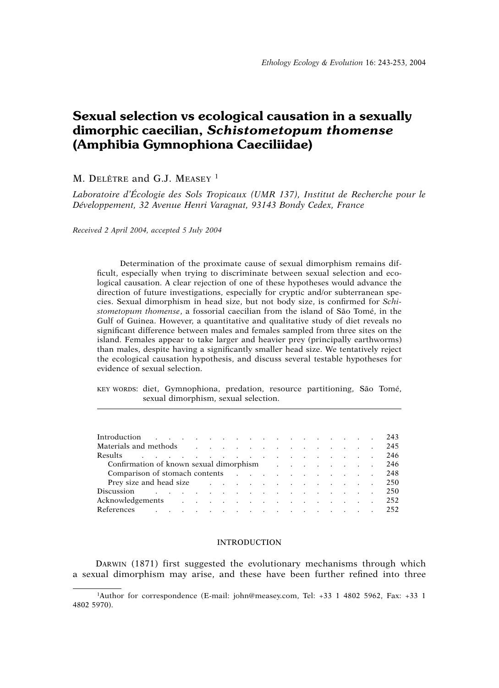# Sexual selection vs ecological causation in a sexually dimorphic caecilian, *Schistometopum thomense*  (Amphibia Gymnophiona Caeciliidae)

M. DELÊTRE and G.J. MEASEY <sup>1</sup>

Laboratoire d'Écologie des Sols Tropicaux (UMR 137), Institut de Recherche pour le *Développement, 32 Avenue Henri Varagnat, 93143 Bondy Cedex, France*

*Received 2 April 2004, accepted 5 July 2004*

Determination of the proximate cause of sexual dimorphism remains difficult, especially when trying to discriminate between sexual selection and ecological causation. A clear rejection of one of these hypotheses would advance the direction of future investigations, especially for cryptic and/or subterranean species. Sexual dimorphism in head size, but not body size, is confirmed for *Schistometopum thomense*, a fossorial caecilian from the island of São Tomé, in the Gulf of Guinea. However, a quantitative and qualitative study of diet reveals no significant difference between males and females sampled from three sites on the island. Females appear to take larger and heavier prey (principally earthworms) than males, despite having a significantly smaller head size. We tentatively reject the ecological causation hypothesis, and discuss several testable hypotheses for evidence of sexual selection.

KEY WORDS: diet, Gymnophiona, predation, resource partitioning, São Tomé, sexual dimorphism, sexual selection.

| Introduction example and the contract of the contract of the contract of the contract of the contract of the contract of the contract of the contract of the contract of the contract of the contract of the contract of the c |  |  |  |  |  |  |  |  |  |
|--------------------------------------------------------------------------------------------------------------------------------------------------------------------------------------------------------------------------------|--|--|--|--|--|--|--|--|--|
| Materials and methods and subset of the contract of the contract of the contract of the contract of the contract of the contract of the contract of the contract of the contract of the contract of the contract of the contra |  |  |  |  |  |  |  |  |  |
| Results and the contract of the contract of the contract of the contract of the contract of the contract of the contract of the contract of the contract of the contract of the contract of the contract of the contract of th |  |  |  |  |  |  |  |  |  |
| Confirmation of known sexual dimorphism example of the set of the sexual dimorphism and the set of the set of the set of the set of the set of the set of the set of the set of the set of the set of the set of the set of th |  |  |  |  |  |  |  |  |  |
| Comparison of stomach contents and the content of the content of the content of the content of the content of the content of the content of the content of the content of the content of the content of the content of the con |  |  |  |  |  |  |  |  |  |
| Prev size and head size the contract of the contract of the contract of the contract of the contract of the contract of the contract of the contract of the contract of the contract of the contract of the contract of the co |  |  |  |  |  |  |  |  |  |
| Discussion 250                                                                                                                                                                                                                 |  |  |  |  |  |  |  |  |  |
| Acknowledgements 252                                                                                                                                                                                                           |  |  |  |  |  |  |  |  |  |
| References 252                                                                                                                                                                                                                 |  |  |  |  |  |  |  |  |  |

#### INTRODUCTION

DARWIN (1871) first suggested the evolutionary mechanisms through which a sexual dimorphism may arise, and these have been further refined into three

<sup>1</sup>Author for correspondence (E-mail: john@measey.com, Tel: +33 1 4802 5962, Fax: +33 1 4802 5970).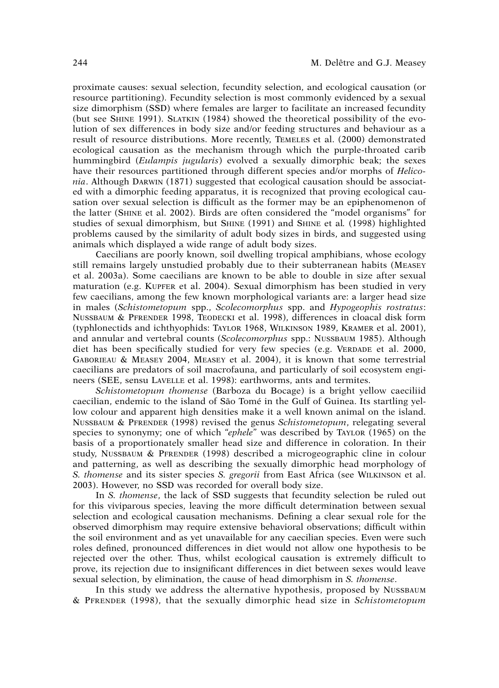proximate causes: sexual selection, fecundity selection, and ecological causation (or resource partitioning). Fecundity selection is most commonly evidenced by a sexual size dimorphism (SSD) where females are larger to facilitate an increased fecundity (but see SHINE 1991). SLATKIN (1984) showed the theoretical possibility of the evolution of sex differences in body size and/or feeding structures and behaviour as a result of resource distributions. More recently, TEMELES et al. (2000) demonstrated ecological causation as the mechanism through which the purple-throated carib hummingbird (*Eulampis jugularis*) evolved a sexually dimorphic beak; the sexes have their resources partitioned through different species and/or morphs of *Heliconia*. Although DARWIN (1871) suggested that ecological causation should be associated with a dimorphic feeding apparatus, it is recognized that proving ecological causation over sexual selection is difficult as the former may be an epiphenomenon of the latter (SHINE et al. 2002). Birds are often considered the "model organisms" for studies of sexual dimorphism, but SHINE (1991) and SHINE et al*.* (1998) highlighted problems caused by the similarity of adult body sizes in birds, and suggested using animals which displayed a wide range of adult body sizes.

Caecilians are poorly known, soil dwelling tropical amphibians, whose ecology still remains largely unstudied probably due to their subterranean habits (MEASEY et al. 2003a). Some caecilians are known to be able to double in size after sexual maturation (e.g. KUPFER et al. 2004). Sexual dimorphism has been studied in very few caecilians, among the few known morphological variants are: a larger head size in males (*Schistometopum* spp., *Scolecomorphus* spp. and *Hypogeophis rostratus*: NUSSBAUM & PFRENDER 1998, TEODECKI et al. 1998), differences in cloacal disk form (typhlonectids and ichthyophids: TAYLOR 1968, WILKINSON 1989, KRAMER et al. 2001), and annular and vertebral counts (*Scolecomorphus* spp.: NUSSBAUM 1985). Although diet has been specifically studied for very few species (e.g. VERDADE et al. 2000, GABORIEAU & MEASEY 2004, MEASEY et al. 2004), it is known that some terrestrial caecilians are predators of soil macrofauna, and particularly of soil ecosystem engineers (SEE, sensu LAVELLE et al. 1998): earthworms, ants and termites.

*Schistometopum thomense* (Barboza du Bocage) is a bright yellow caeciliid caecilian, endemic to the island of São Tomé in the Gulf of Guinea. Its startling yellow colour and apparent high densities make it a well known animal on the island. NUSSBAUM & PFRENDER (1998) revised the genus *Schistometopum*, relegating several species to synonymy; one of which "*ephele*" was described by TAYLOR (1965) on the basis of a proportionately smaller head size and difference in coloration. In their study, NUSSBAUM & PFRENDER (1998) described a microgeographic cline in colour and patterning, as well as describing the sexually dimorphic head morphology of *S. thomense* and its sister species *S. gregorii* from East Africa (see WILKINSON et al. 2003). However, no SSD was recorded for overall body size.

In *S. thomense*, the lack of SSD suggests that fecundity selection be ruled out for this viviparous species, leaving the more difficult determination between sexual selection and ecological causation mechanisms. Defining a clear sexual role for the observed dimorphism may require extensive behavioral observations; difficult within the soil environment and as yet unavailable for any caecilian species. Even were such roles defined, pronounced differences in diet would not allow one hypothesis to be rejected over the other. Thus, whilst ecological causation is extremely difficult to prove, its rejection due to insignificant differences in diet between sexes would leave sexual selection, by elimination, the cause of head dimorphism in *S. thomense*.

In this study we address the alternative hypothesis, proposed by NUSSBAUM & PFRENDER (1998), that the sexually dimorphic head size in *Schistometopum*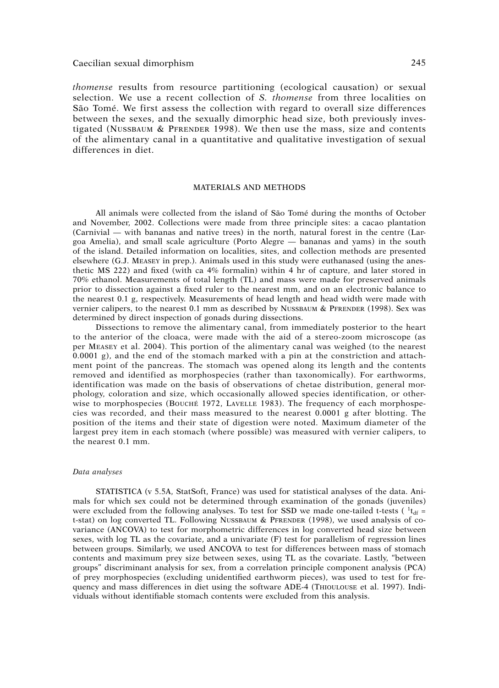# Caecilian sexual dimorphism 245

*thomense* results from resource partitioning (ecological causation) or sexual selection. We use a recent collection of *S. thomense* from three localities on São Tomé. We first assess the collection with regard to overall size differences between the sexes, and the sexually dimorphic head size, both previously investigated (NUSSBAUM & PFRENDER 1998). We then use the mass, size and contents of the alimentary canal in a quantitative and qualitative investigation of sexual differences in diet.

## MATERIALS AND METHODS

All animals were collected from the island of São Tomé during the months of October and November, 2002. Collections were made from three principle sites: a cacao plantation (Carnivial — with bananas and native trees) in the north, natural forest in the centre (Largoa Amelia), and small scale agriculture (Porto Alegre — bananas and yams) in the south of the island. Detailed information on localities, sites, and collection methods are presented elsewhere (G.J. MEASEY in prep.). Animals used in this study were euthanased (using the anesthetic MS 222) and fixed (with ca 4% formalin) within 4 hr of capture, and later stored in 70% ethanol. Measurements of total length (TL) and mass were made for preserved animals prior to dissection against a fixed ruler to the nearest mm, and on an electronic balance to the nearest 0.1 g, respectively. Measurements of head length and head width were made with vernier calipers, to the nearest 0.1 mm as described by NUSSBAUM & PFRENDER (1998). Sex was determined by direct inspection of gonads during dissections.

Dissections to remove the alimentary canal, from immediately posterior to the heart to the anterior of the cloaca, were made with the aid of a stereo-zoom microscope (as per MEASEY et al. 2004). This portion of the alimentary canal was weighed (to the nearest 0.0001 g), and the end of the stomach marked with a pin at the constriction and attachment point of the pancreas. The stomach was opened along its length and the contents removed and identified as morphospecies (rather than taxonomically). For earthworms, identification was made on the basis of observations of chetae distribution, general morphology, coloration and size, which occasionally allowed species identification, or otherwise to morphospecies (BOUCHÉ 1972, LAVELLE 1983). The frequency of each morphospecies was recorded, and their mass measured to the nearest 0.0001 g after blotting. The position of the items and their state of digestion were noted. Maximum diameter of the largest prey item in each stomach (where possible) was measured with vernier calipers, to the nearest 0.1 mm.

### *Data analyses*

STATISTICA (v 5.5A, StatSoft, France) was used for statistical analyses of the data. Animals for which sex could not be determined through examination of the gonads (juveniles) were excluded from the following analyses. To test for SSD we made one-tailed t-tests ( $1_{\text{tdf}} =$ t-stat) on log converted TL. Following NUSSBAUM & PFRENDER (1998), we used analysis of covariance (ANCOVA) to test for morphometric differences in log converted head size between sexes, with log TL as the covariate, and a univariate (F) test for parallelism of regression lines between groups. Similarly, we used ANCOVA to test for differences between mass of stomach contents and maximum prey size between sexes, using TL as the covariate. Lastly, "between groups" discriminant analysis for sex, from a correlation principle component analysis (PCA) of prey morphospecies (excluding unidentified earthworm pieces), was used to test for frequency and mass differences in diet using the software ADE-4 (THIOULOUSE et al. 1997). Individuals without identifiable stomach contents were excluded from this analysis.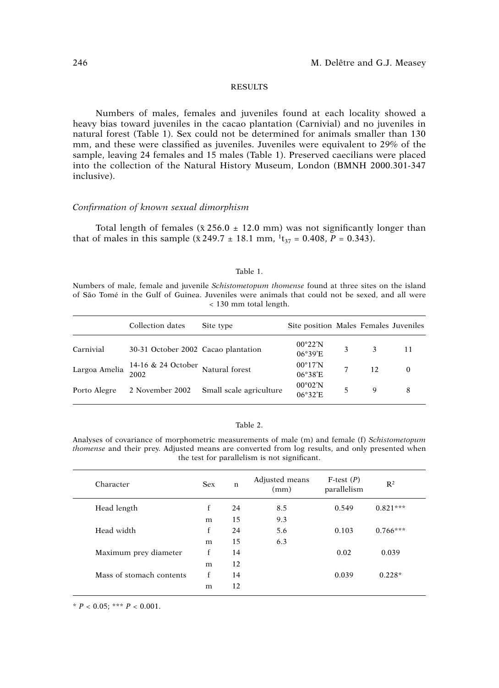## RESULTS

Numbers of males, females and juveniles found at each locality showed a heavy bias toward juveniles in the cacao plantation (Carnivial) and no juveniles in natural forest (Table 1). Sex could not be determined for animals smaller than 130 mm, and these were classified as juveniles. Juveniles were equivalent to 29% of the sample, leaving 24 females and 15 males (Table 1). Preserved caecilians were placed into the collection of the Natural History Museum, London (BMNH 2000.301-347 inclusive).

## *Confirmation of known sexual dimorphism*

Total length of females ( $\bar{x}$  256.0  $\pm$  12.0 mm) was not significantly longer than that of males in this sample ( $\bar{x}$  249.7  $\pm$  18.1 mm, <sup>1</sup>t<sub>37</sub> = 0.408, *P* = 0.343).

#### Table 1.

Numbers of male, female and juvenile *Schistometopum thomense* found at three sites on the island of São Tomé in the Gulf of Guinea. Juveniles were animals that could not be sexed, and all were < 130 mm total length.

|              | Collection dates                                                                                 | Site type               | Site position Males Females Juveniles |   |    |          |
|--------------|--------------------------------------------------------------------------------------------------|-------------------------|---------------------------------------|---|----|----------|
| Carnivial    | 30-31 October 2002 Cacao plantation                                                              |                         | $00^{\circ}22'N$<br>06°39'E           | 3 | 3  | 11       |
|              | Largoa Amelia $\begin{array}{c} 14\text{-}16 \text{ \& } 24 \text{ October} \\ 2002 \end{array}$ | Natural forest          | $00^{\circ}17'N$<br>$06^{\circ}38'E$  |   | 12 | $\theta$ |
| Porto Alegre | 2 November 2002                                                                                  | Small scale agriculture | $00^{\circ}02'N$<br>06°32'E           |   | 9  | 8        |

#### Table 2.

Analyses of covariance of morphometric measurements of male (m) and female (f) *Schistometopum thomense* and their prey. Adjusted means are converted from log results, and only presented when the test for parallelism is not significant.

| Character                | <b>Sex</b> | n  | Adjusted means<br>(mm) | $F-test(P)$<br>parallelism | $R^2$      |
|--------------------------|------------|----|------------------------|----------------------------|------------|
| Head length              | f          | 24 | 8.5                    | 0.549                      | $0.821***$ |
|                          | m          | 15 | 9.3                    |                            |            |
| Head width               | f          | 24 | 5.6                    | 0.103                      | $0.766***$ |
|                          | m          | 15 | 6.3                    |                            |            |
| Maximum prey diameter    | f          | 14 |                        | 0.02                       | 0.039      |
|                          | m          | 12 |                        |                            |            |
| Mass of stomach contents | f          | 14 |                        | 0.039                      | $0.228*$   |
|                          | m          | 12 |                        |                            |            |

 $* P < 0.05$ ; \*\*\*  $P < 0.001$ .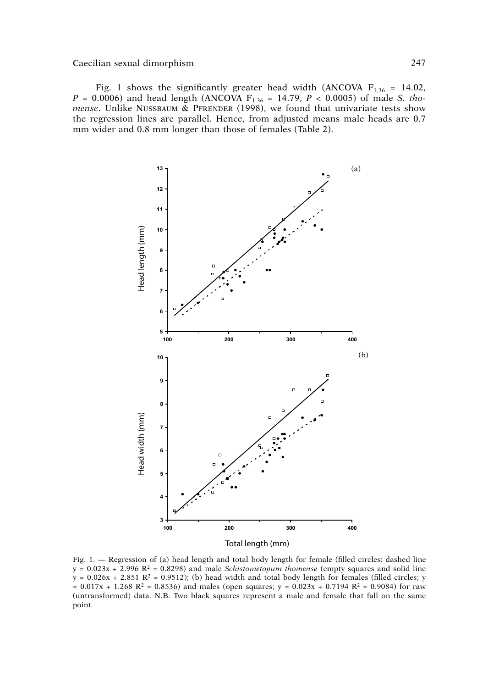### Caecilian sexual dimorphism

Fig. 1 shows the significantly greater head width (ANCOVA  $F_{1,36} = 14.02$ ),  $P = 0.0006$ ) and head length (ANCOVA F<sub>1,36</sub> = 14.79, P < 0.0005) of male S. thomense. Unlike NUSSBAUM & PFRENDER (1998), we found that univariate tests show the regression lines are parallel. Hence, from adjusted means male heads are 0.7 mm wider and 0.8 mm longer than those of females (Table 2).



Total length (mm)

Fig. 1. - Regression of (a) head length and total body length for female (filled circles: dashed line  $y = 0.023x + 2.996$   $R^2 = 0.8298$ ) and male *Schistometopum thomense* (empty squares and solid line  $y = 0.026x + 2.851$   $R^2 = 0.9512$ ; (b) head width and total body length for females (filled circles; y =  $0.017x + 1.268$  R<sup>2</sup> = 0.8536) and males (open squares; y =  $0.023x + 0.7194$  R<sup>2</sup> = 0.9084) for raw (untransformed) data. N.B. Two black squares represent a male and female that fall on the same point.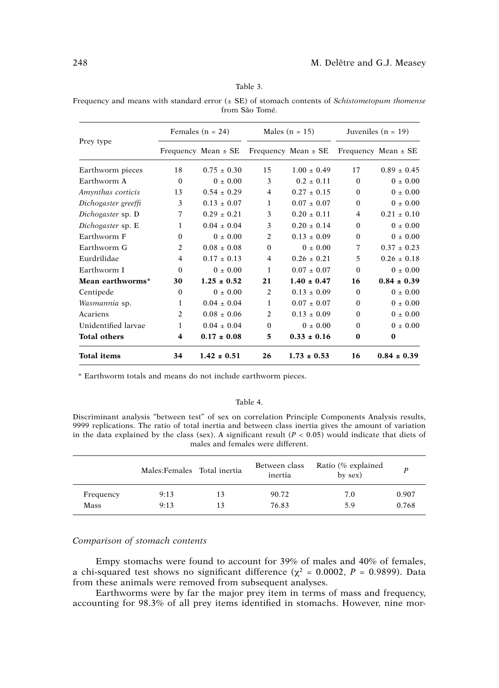Frequency and means with standard error (± SE) of stomach contents of *Schistometopum thomense* from São Tomé.

|                     |                | Females $(n = 24)$      |                | Males $(n = 15)$        | Juveniles ( $n = 19$ ) |                         |  |
|---------------------|----------------|-------------------------|----------------|-------------------------|------------------------|-------------------------|--|
| Prey type           |                | Frequency Mean $\pm$ SE |                | Frequency Mean $\pm$ SE |                        | Frequency Mean $\pm$ SE |  |
| Earthworm pieces    | 18             | $0.75 + 0.30$           | 15             | $1.00 + 0.49$           | 17                     | $0.89 \pm 0.45$         |  |
| Earthworm A         | $\Omega$       | $0 + 0.00$              | 3              | $0.2 + 0.11$            | $\Omega$               | $0 + 0.00$              |  |
| Amynthas corticis   | 13             | $0.54 + 0.29$           | 4              | $0.27 + 0.15$           | $\Omega$               | $0 \pm 0.00$            |  |
| Dichogaster greeffi | 3              | $0.13 + 0.07$           | 1              | $0.07 + 0.07$           | $\Omega$               | $0 \pm 0.00$            |  |
| Dichogaster sp. D   | 7              | $0.29 + 0.21$           | 3              | $0.20 + 0.11$           | 4                      | $0.21 + 0.10$           |  |
| Dichogaster sp. E   | 1              | $0.04 + 0.04$           | 3              | $0.20 + 0.14$           | $\Omega$               | $0 \pm 0.00$            |  |
| Earthworm F         | $\mathbf{0}$   | $0 \pm 0.00$            | $\mathcal{L}$  | $0.13 + 0.09$           | $\Omega$               | $0 \pm 0.00$            |  |
| Earthworm G         | $\overline{2}$ | $0.08 + 0.08$           | $\Omega$       | $0 + 0.00$              | 7                      | $0.37 + 0.23$           |  |
| Eurdrilidae         | $\overline{4}$ | $0.17 \pm 0.13$         | 4              | $0.26 + 0.21$           | 5                      | $0.26 + 0.18$           |  |
| Earthworm I         | $\Omega$       | $0 + 0.00$              | 1              | $0.07 + 0.07$           | $\Omega$               | $0 \pm 0.00$            |  |
| Mean earthworms*    | 30             | $1.25 \pm 0.52$         | 21             | $1.40 \pm 0.47$         | 16                     | $0.84 \pm 0.39$         |  |
| Centipede           | $\Omega$       | $0 + 0.00$              | $\mathcal{L}$  | $0.13 + 0.09$           | $\Omega$               | $0 + 0.00$              |  |
| Wasmannia sp.       | 1              | $0.04 + 0.04$           | 1              | $0.07 + 0.07$           | $\Omega$               | $0 \pm 0.00$            |  |
| Acariens            | 2              | $0.08 + 0.06$           | $\overline{2}$ | $0.13 + 0.09$           | $\Omega$               | $0 \pm 0.00$            |  |
| Unidentified larvae | 1              | $0.04 + 0.04$           | $\Omega$       | $0 + 0.00$              | $\Omega$               | $0 + 0.00$              |  |
| <b>Total others</b> | 4              | $0.17 \pm 0.08$         | 5              | $0.33 \pm 0.16$         | $\bf{0}$               | $\bf{0}$                |  |
| <b>Total items</b>  | 34             | $1.42 \pm 0.51$         | 26             | $1.73 \pm 0.53$         | 16                     | $0.84 \pm 0.39$         |  |

\* Earthworm totals and means do not include earthworm pieces.

#### Table 4.

Discriminant analysis "between test" of sex on correlation Principle Components Analysis results, 9999 replications. The ratio of total inertia and between class inertia gives the amount of variation in the data explained by the class (sex). A significant result  $(P < 0.05)$  would indicate that diets of males and females were different.

|           | Males: Females Total inertia |    | Between class<br>inertia | Ratio (% explained<br>by sex) |       |
|-----------|------------------------------|----|--------------------------|-------------------------------|-------|
| Frequency | 9:13                         | 13 | 90.72                    | 7.0                           | 0.907 |
| Mass      | 9:13                         | 13 | 76.83                    | 5.9                           | 0.768 |

# *Comparison of stomach contents*

Empy stomachs were found to account for 39% of males and 40% of females, a chi-squared test shows no significant difference ( $χ² = 0.0002$ ,  $P = 0.9899$ ). Data from these animals were removed from subsequent analyses.

Earthworms were by far the major prey item in terms of mass and frequency, accounting for 98.3% of all prey items identified in stomachs. However, nine mor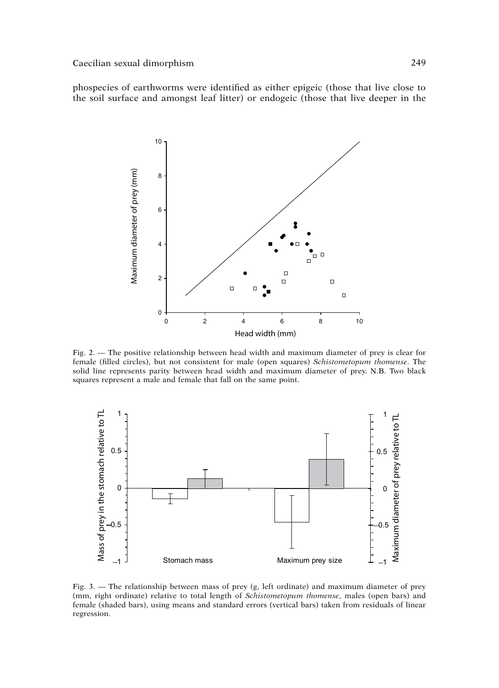phospecies of earthworms were identified as either epigeic (those that live close to the soil surface and amongst leaf litter) or endogeic (those that live deeper in the



Fig. 2. — The positive relationship between head width and maximum diameter of prey is clear for female (filled circles), but not consistent for male (open squares) Schistometopum thomense. The solid line represents parity between head width and maximum diameter of prey. N.B. Two black squares represent a male and female that fall on the same point.



Fig. 3. - The relationship between mass of prey (g, left ordinate) and maximum diameter of prey (mm, right ordinate) relative to total length of Schistometopum thomense, males (open bars) and female (shaded bars), using means and standard errors (vertical bars) taken from residuals of linear regression.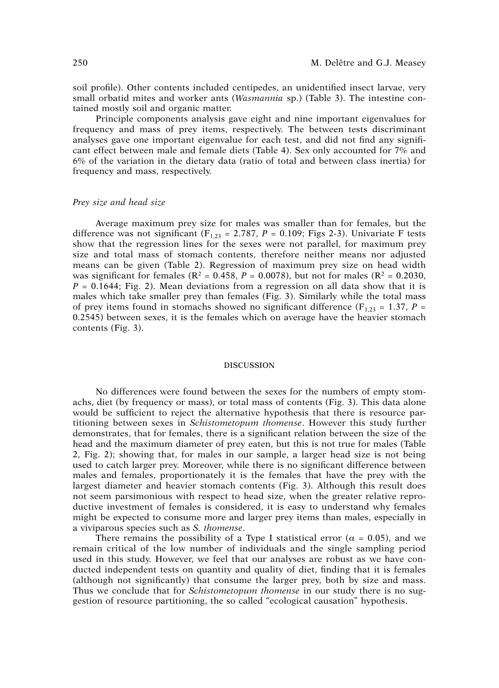soil profile). Other contents included centipedes, an unidentified insect larvae, very small orbatid mites and worker ants (*Wasmannia* sp.) (Table 3). The intestine contained mostly soil and organic matter.

Principle components analysis gave eight and nine important eigenvalues for frequency and mass of prey items, respectively. The between tests discriminant analyses gave one important eigenvalue for each test, and did not find any significant effect between male and female diets (Table 4). Sex only accounted for 7% and 6% of the variation in the dietary data (ratio of total and between class inertia) for frequency and mass, respectively.

# *Prey size and head size*

Average maximum prey size for males was smaller than for females, but the difference was not significant ( $F_{1,23} = 2.787$ ,  $P = 0.109$ ; Figs 2-3). Univariate F tests show that the regression lines for the sexes were not parallel, for maximum prey size and total mass of stomach contents, therefore neither means nor adjusted means can be given (Table 2). Regression of maximum prey size on head width was significant for females ( $R^2 = 0.458$ ,  $P = 0.0078$ ), but not for males ( $R^2 = 0.2030$ ,  $P = 0.1644$ ; Fig. 2). Mean deviations from a regression on all data show that it is males which take smaller prey than females (Fig. 3). Similarly while the total mass of prey items found in stomachs showed no significant difference ( $F_{1,23} = 1.37$ , *P* = 0.2545) between sexes, it is the females which on average have the heavier stomach contents (Fig. 3).

## **DISCUSSION**

No differences were found between the sexes for the numbers of empty stomachs, diet (by frequency or mass), or total mass of contents (Fig. 3). This data alone would be sufficient to reject the alternative hypothesis that there is resource partitioning between sexes in *Schistometopum thomense*. However this study further demonstrates, that for females, there is a significant relation between the size of the head and the maximum diameter of prey eaten, but this is not true for males (Table 2, Fig. 2); showing that, for males in our sample, a larger head size is not being used to catch larger prey. Moreover, while there is no significant difference between males and females, proportionately it is the females that have the prey with the largest diameter and heavier stomach contents (Fig. 3). Although this result does not seem parsimonious with respect to head size, when the greater relative reproductive investment of females is considered, it is easy to understand why females might be expected to consume more and larger prey items than males, especially in a viviparous species such as *S. thomense*.

There remains the possibility of a Type I statistical error ( $\alpha = 0.05$ ), and we remain critical of the low number of individuals and the single sampling period used in this study. However, we feel that our analyses are robust as we have conducted independent tests on quantity and quality of diet, finding that it is females (although not significantly) that consume the larger prey, both by size and mass. Thus we conclude that for *Schistometopum thomense* in our study there is no suggestion of resource partitioning, the so called "ecological causation" hypothesis.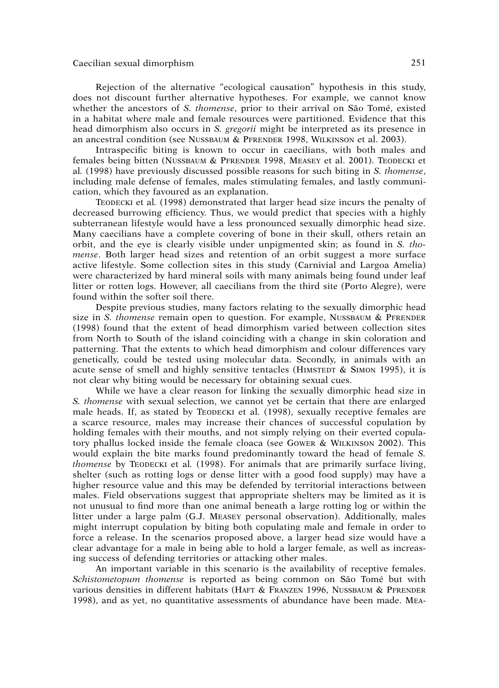# **Caecilian sexual dimorphism** 251

Rejection of the alternative "ecological causation" hypothesis in this study, does not discount further alternative hypotheses. For example, we cannot know whether the ancestors of *S. thomense*, prior to their arrival on São Tomé, existed in a habitat where male and female resources were partitioned. Evidence that this head dimorphism also occurs in *S. gregorii* might be interpreted as its presence in an ancestral condition (see NUSSBAUM & PFRENDER 1998, WILKINSON et al. 2003).

Intraspecific biting is known to occur in caecilians, with both males and females being bitten (NUSSBAUM & PFRENDER 1998, MEASEY et al. 2001). TEODECKI et al*.* (1998) have previously discussed possible reasons for such biting in *S. thomense*, including male defense of females, males stimulating females, and lastly communication, which they favoured as an explanation.

TEODECKI et al*.* (1998) demonstrated that larger head size incurs the penalty of decreased burrowing efficiency. Thus, we would predict that species with a highly subterranean lifestyle would have a less pronounced sexually dimorphic head size. Many caecilians have a complete covering of bone in their skull, others retain an orbit, and the eye is clearly visible under unpigmented skin; as found in *S. thomense*. Both larger head sizes and retention of an orbit suggest a more surface active lifestyle. Some collection sites in this study (Carnivial and Largoa Amelia) were characterized by hard mineral soils with many animals being found under leaf litter or rotten logs. However, all caecilians from the third site (Porto Alegre), were found within the softer soil there.

Despite previous studies, many factors relating to the sexually dimorphic head size in *S. thomense* remain open to question. For example, NUSSBAUM & PFRENDER (1998) found that the extent of head dimorphism varied between collection sites from North to South of the island coinciding with a change in skin coloration and patterning. That the extents to which head dimorphism and colour differences vary genetically, could be tested using molecular data. Secondly, in animals with an acute sense of smell and highly sensitive tentacles (HIMSTEDT  $\&$  SIMON 1995), it is not clear why biting would be necessary for obtaining sexual cues.

While we have a clear reason for linking the sexually dimorphic head size in *S. thomense* with sexual selection, we cannot yet be certain that there are enlarged male heads. If, as stated by TEODECKI et al*.* (1998), sexually receptive females are a scarce resource, males may increase their chances of successful copulation by holding females with their mouths, and not simply relying on their everted copulatory phallus locked inside the female cloaca (see GOWER & WILKINSON 2002). This would explain the bite marks found predominantly toward the head of female *S. thomense* by TEODECKI et al*.* (1998). For animals that are primarily surface living, shelter (such as rotting logs or dense litter with a good food supply) may have a higher resource value and this may be defended by territorial interactions between males. Field observations suggest that appropriate shelters may be limited as it is not unusual to find more than one animal beneath a large rotting log or within the litter under a large palm (G.J. MEASEY personal observation). Additionally, males might interrupt copulation by biting both copulating male and female in order to force a release. In the scenarios proposed above, a larger head size would have a clear advantage for a male in being able to hold a larger female, as well as increasing success of defending territories or attacking other males.

An important variable in this scenario is the availability of receptive females. *Schistometopum thomense* is reported as being common on São Tomé but with various densities in different habitats (HAFT & FRANZEN 1996, NUSSBAUM & PFRENDER 1998), and as yet, no quantitative assessments of abundance have been made. MEA-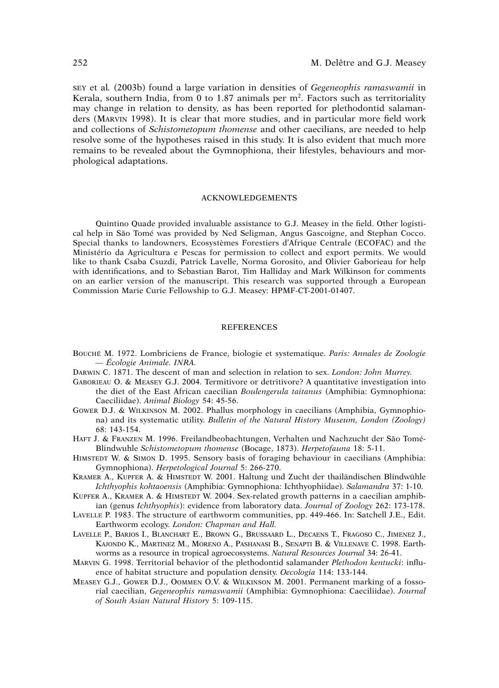SEY et al*.* (2003b) found a large variation in densities of *Gegeneophis ramaswamii* in Kerala, southern India, from 0 to 1.87 animals per  $m<sup>2</sup>$ . Factors such as territoriality may change in relation to density, as has been reported for plethodontid salamanders (MARVIN 1998). It is clear that more studies, and in particular more field work and collections of *Schistometopum thomense* and other caecilians, are needed to help resolve some of the hypotheses raised in this study. It is also evident that much more remains to be revealed about the Gymnophiona, their lifestyles, behaviours and morphological adaptations.

## ACKNOWLEDGEMENTS

Quintino Quade provided invaluable assistance to G.J. Measey in the field. Other logistical help in São Tomé was provided by Ned Seligman, Angus Gascoigne, and Stephan Cocco. Special thanks to landowners, Ecosystèmes Forestiers d'Afrique Centrale (ECOFAC) and the Ministério da Agricultura e Pescas for permission to collect and export permits. We would like to thank Csaba Csuzdi, Patrick Lavelle, Norma Gorosito, and Olivier Gaborieau for help with identifications, and to Sebastian Barot, Tim Halliday and Mark Wilkinson for comments on an earlier version of the manuscript. This research was supported through a European Commission Marie Curie Fellowship to G.J. Measey: HPMF-CT-2001-01407.

#### REFERENCES

- BOUCHÉ M. 1972. Lombriciens de France, biologie et systematique. *Paris: Annales de Zoologie — Écologie Animale. INRA.*
- DARWIN C. 1871. The descent of man and selection in relation to sex. *London: John Murrey.*
- GABORIEAU O. & MEASEY G.J. 2004. Termitivore or detritivore? A quantitative investigation into the diet of the East African caecilian *Boulengerula taitanus* (Amphibia: Gymnophiona: Caeciliidae). *Animal Biology* 54: 45-56.
- GOWER D.J. & WILKINSON M. 2002. Phallus morphology in caecilians (Amphibia, Gymnophiona) and its systematic utility. *Bulletin of the Natural History Museum, London (Zoology)* 68: 143-154.
- HAFT J. & FRANZEN M. 1996. Freilandbeobachtungen, Verhalten und Nachzucht der São Tomé-Blindwuhle *Schistometopum thomense* (Bocage, 1873). *Herpetofauna* 18: 5-11.
- HIMSTEDT W. & SIMON D. 1995. Sensory basis of foraging behaviour in caecilians (Amphibia: Gymnophiona). *Herpetological Journal* 5: 266-270.
- KRAMER A., KUPFER A. & HIMSTEDT W. 2001. Haltung und Zucht der thailändischen Blindwühle *Ichthyophis kohtaoensis* (Amphibia: Gymnophiona: Ichthyophiidae). *Salamandra* 37: 1-10.
- KUPFER A., KRAMER A. & HIMSTEDT W. 2004. Sex-related growth patterns in a caecilian amphibian (genus *Ichthyophis*): evidence from laboratory data. *Journal of Zoology* 262: 173-178.
- LAVELLE P. 1983. The structure of earthworm communities, pp. 449-466. In: Satchell J.E., Edit. Earthworm ecology. *London: Chapman and Hall.*
- LAVELLE P., BARIOS I., BLANCHART E., BROWN G., BRUSSAARD L., DECAENS T., FRAGOSO C., JIMENEZ J., KAJONDO K., MARTINEZ M., MORENO A., PASHANASI B., SENAPTI B. & VILLENAVE C. 1998. Earthworms as a resource in tropical agroecosystems. *Natural Resources Journal* 34: 26-41.
- MARVIN G. 1998. Territorial behavior of the plethodontid salamander *Plethodon kentucki*: influence of habitat structure and population density. *Oecologia* 114: 133-144.
- MEASEY G.J., GOWER D.J., OOMMEN O.V. & WILKINSON M. 2001. Permanent marking of a fossorial caecilian, *Gegeneophis ramaswamii* (Amphibia: Gymnophiona: Caeciliidae). *Journal of South Asian Natural History* 5: 109-115.